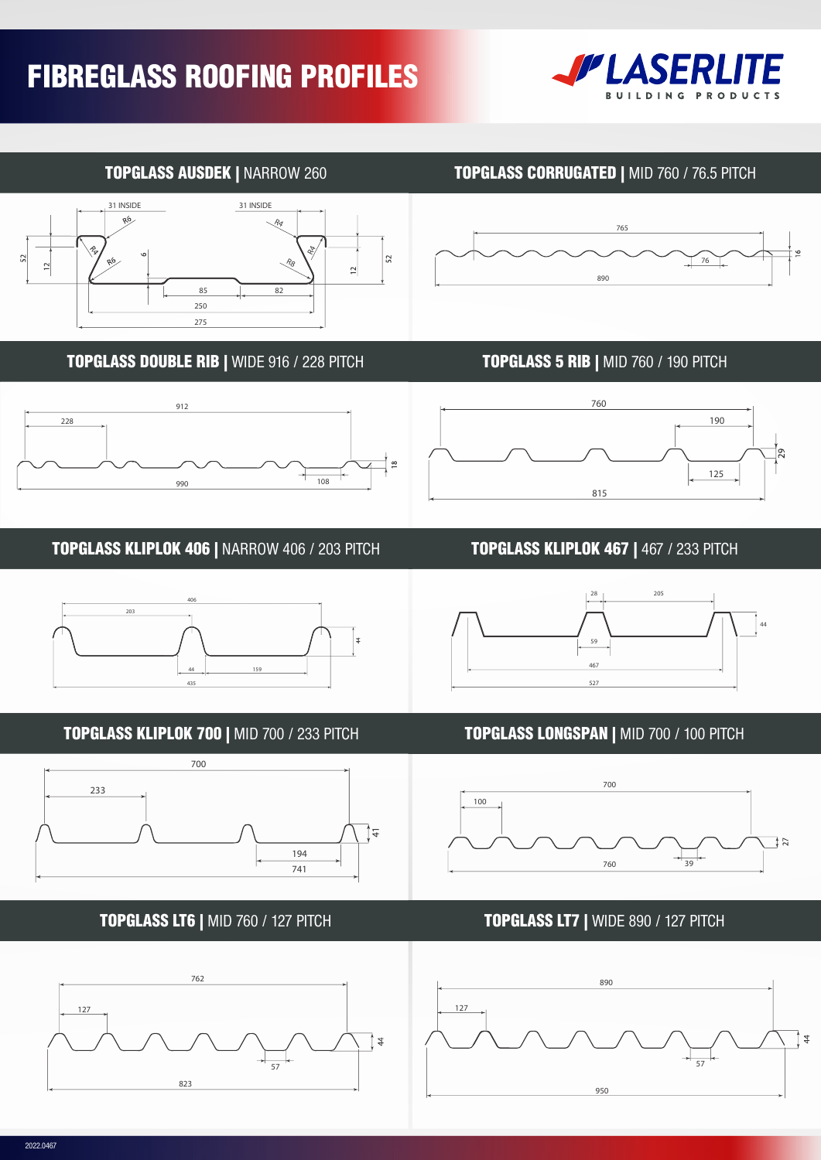

## TOPGLASS AUSDEK | NARROW 260





### TOPGLASS DOUBLE RIB | WIDE 916 / 228 PITCH TOPGLASS 5 RIB | MID 760 / 190 PITCH



### TOPGLASS KLIPLOK 406 | NARROW 406 / 203 PITCH TOPGLASS KLIPLOK 467 | 467 / 233 PITCH



# TOPGLASS KLIPLOK 700 | MID 700 / 233 PITCH TOPGLASS LONGSPAN | MID 700 / 100 PITCH













### TOPGLASS LT6 | MID 760 / 127 PITCH TOPGLASS LT7 | WIDE 890 / 127 PITCH